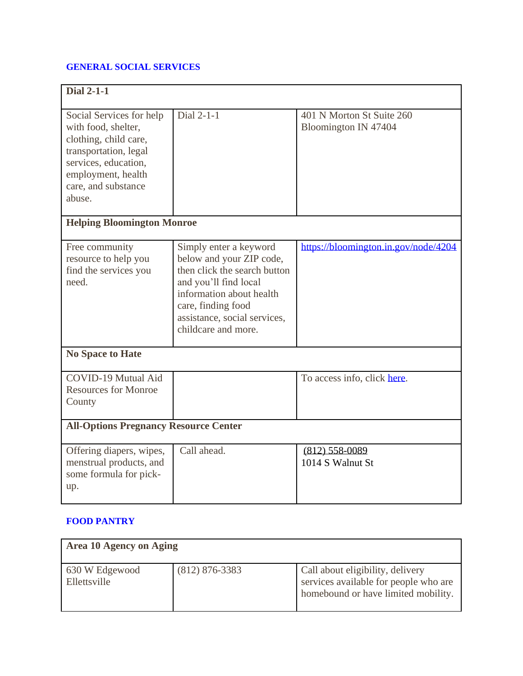## **GENERAL SOCIAL SERVICES**

| <b>Dial 2-1-1</b>                                         |                              |                                      |  |  |
|-----------------------------------------------------------|------------------------------|--------------------------------------|--|--|
|                                                           |                              |                                      |  |  |
| Social Services for help<br>with food, shelter,           | Dial 2-1-1                   | 401 N Morton St Suite 260            |  |  |
| clothing, child care,                                     |                              | Bloomington IN 47404                 |  |  |
| transportation, legal                                     |                              |                                      |  |  |
| services, education,                                      |                              |                                      |  |  |
| employment, health                                        |                              |                                      |  |  |
| care, and substance                                       |                              |                                      |  |  |
| abuse.                                                    |                              |                                      |  |  |
|                                                           |                              |                                      |  |  |
| <b>Helping Bloomington Monroe</b>                         |                              |                                      |  |  |
| Free community                                            | Simply enter a keyword       | https://bloomington.in.gov/node/4204 |  |  |
| resource to help you                                      | below and your ZIP code,     |                                      |  |  |
| find the services you                                     | then click the search button |                                      |  |  |
| need.                                                     | and you'll find local        |                                      |  |  |
|                                                           | information about health     |                                      |  |  |
|                                                           | care, finding food           |                                      |  |  |
|                                                           | assistance, social services, |                                      |  |  |
|                                                           | childcare and more.          |                                      |  |  |
| <b>No Space to Hate</b>                                   |                              |                                      |  |  |
|                                                           |                              |                                      |  |  |
| <b>COVID-19 Mutual Aid</b><br><b>Resources for Monroe</b> |                              | To access info, click here.          |  |  |
|                                                           |                              |                                      |  |  |
| County                                                    |                              |                                      |  |  |
| <b>All-Options Pregnancy Resource Center</b>              |                              |                                      |  |  |
| Offering diapers, wipes,                                  | Call ahead.                  | $(812)$ 558-0089                     |  |  |
| menstrual products, and                                   |                              | 1014 S Walnut St                     |  |  |
| some formula for pick-                                    |                              |                                      |  |  |
| up.                                                       |                              |                                      |  |  |
|                                                           |                              |                                      |  |  |

## **FOOD PANTRY**

| Area 10 Agency on Aging        |                  |                                                                                                                  |  |
|--------------------------------|------------------|------------------------------------------------------------------------------------------------------------------|--|
| 630 W Edgewood<br>Ellettsville | $(812)$ 876-3383 | Call about eligibility, delivery<br>services available for people who are<br>homebound or have limited mobility. |  |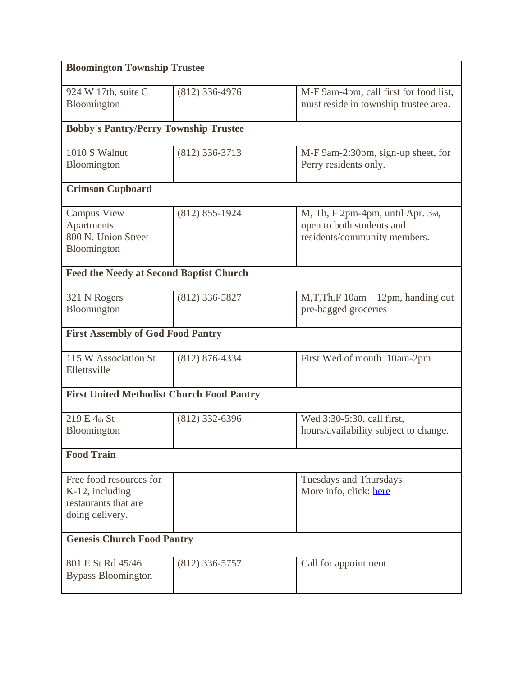| <b>Bloomington Township Trustee</b>                                                   |                    |                                                                                                |  |  |
|---------------------------------------------------------------------------------------|--------------------|------------------------------------------------------------------------------------------------|--|--|
| 924 W 17th, suite C<br>Bloomington                                                    | $(812)$ 336-4976   | M-F 9am-4pm, call first for food list,<br>must reside in township trustee area.                |  |  |
| <b>Bobby's Pantry/Perry Township Trustee</b>                                          |                    |                                                                                                |  |  |
| 1010 S Walnut<br><b>Bloomington</b>                                                   | $(812)$ 336-3713   | M-F 9am-2:30pm, sign-up sheet, for<br>Perry residents only.                                    |  |  |
| <b>Crimson Cupboard</b>                                                               |                    |                                                                                                |  |  |
| <b>Campus View</b><br>Apartments<br>800 N. Union Street<br>Bloomington                | $(812) 855 - 1924$ | M, Th, F 2pm-4pm, until Apr. 3rd,<br>open to both students and<br>residents/community members. |  |  |
| <b>Feed the Needy at Second Baptist Church</b>                                        |                    |                                                                                                |  |  |
| 321 N Rogers<br>Bloomington                                                           | $(812)$ 336-5827   | $M, T, Th, F$ 10am $-$ 12pm, handing out<br>pre-bagged groceries                               |  |  |
| <b>First Assembly of God Food Pantry</b>                                              |                    |                                                                                                |  |  |
| 115 W Association St<br>Ellettsville                                                  | (812) 876-4334     | First Wed of month 10am-2pm                                                                    |  |  |
| <b>First United Methodist Church Food Pantry</b>                                      |                    |                                                                                                |  |  |
| 219 E 4th St<br>Bloomington                                                           | $(812)$ 332-6396   | Wed 3:30-5:30, call first,<br>hours/availability subject to change.                            |  |  |
| <b>Food Train</b>                                                                     |                    |                                                                                                |  |  |
| Free food resources for<br>K-12, including<br>restaurants that are<br>doing delivery. |                    | <b>Tuesdays and Thursdays</b><br>More info, click: here                                        |  |  |
| <b>Genesis Church Food Pantry</b>                                                     |                    |                                                                                                |  |  |
| 801 E St Rd 45/46<br><b>Bypass Bloomington</b>                                        | $(812)$ 336-5757   | Call for appointment                                                                           |  |  |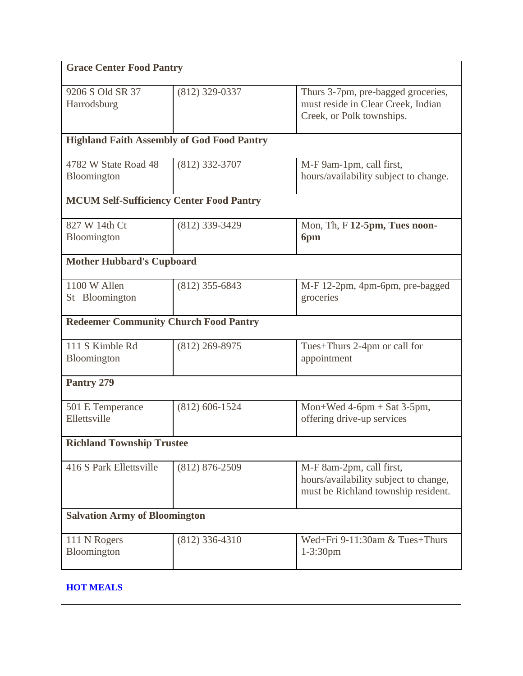| <b>Grace Center Food Pantry</b>                   |                    |                                                                                                          |  |  |
|---------------------------------------------------|--------------------|----------------------------------------------------------------------------------------------------------|--|--|
| 9206 S Old SR 37<br>Harrodsburg                   | $(812)$ 329-0337   | Thurs 3-7pm, pre-bagged groceries,<br>must reside in Clear Creek, Indian<br>Creek, or Polk townships.    |  |  |
| <b>Highland Faith Assembly of God Food Pantry</b> |                    |                                                                                                          |  |  |
| 4782 W State Road 48<br>Bloomington               | (812) 332-3707     | M-F 9am-1pm, call first,<br>hours/availability subject to change.                                        |  |  |
| <b>MCUM Self-Sufficiency Center Food Pantry</b>   |                    |                                                                                                          |  |  |
| 827 W 14th Ct<br>Bloomington                      | (812) 339-3429     | Mon, Th, F 12-5pm, Tues noon-<br>6pm                                                                     |  |  |
| <b>Mother Hubbard's Cupboard</b>                  |                    |                                                                                                          |  |  |
| 1100 W Allen<br>St Bloomington                    | $(812)$ 355-6843   | M-F 12-2pm, 4pm-6pm, pre-bagged<br>groceries                                                             |  |  |
| <b>Redeemer Community Church Food Pantry</b>      |                    |                                                                                                          |  |  |
| 111 S Kimble Rd<br><b>Bloomington</b>             | $(812)$ 269-8975   | Tues+Thurs 2-4pm or call for<br>appointment                                                              |  |  |
| Pantry 279                                        |                    |                                                                                                          |  |  |
| 501 E Temperance<br>Ellettsville                  | $(812)$ 606-1524   | Mon+Wed $4-6pm + Sat$ 3-5pm,<br>offering drive-up services                                               |  |  |
| <b>Richland Township Trustee</b>                  |                    |                                                                                                          |  |  |
| 416 S Park Ellettsville                           | $(812) 876 - 2509$ | M-F 8am-2pm, call first,<br>hours/availability subject to change,<br>must be Richland township resident. |  |  |
| <b>Salvation Army of Bloomington</b>              |                    |                                                                                                          |  |  |
| 111 N Rogers<br>Bloomington                       | $(812)$ 336-4310   | Wed+Fri 9-11:30am & Tues+Thurs<br>$1 - 3:30$ pm                                                          |  |  |

## **HOT MEALS**